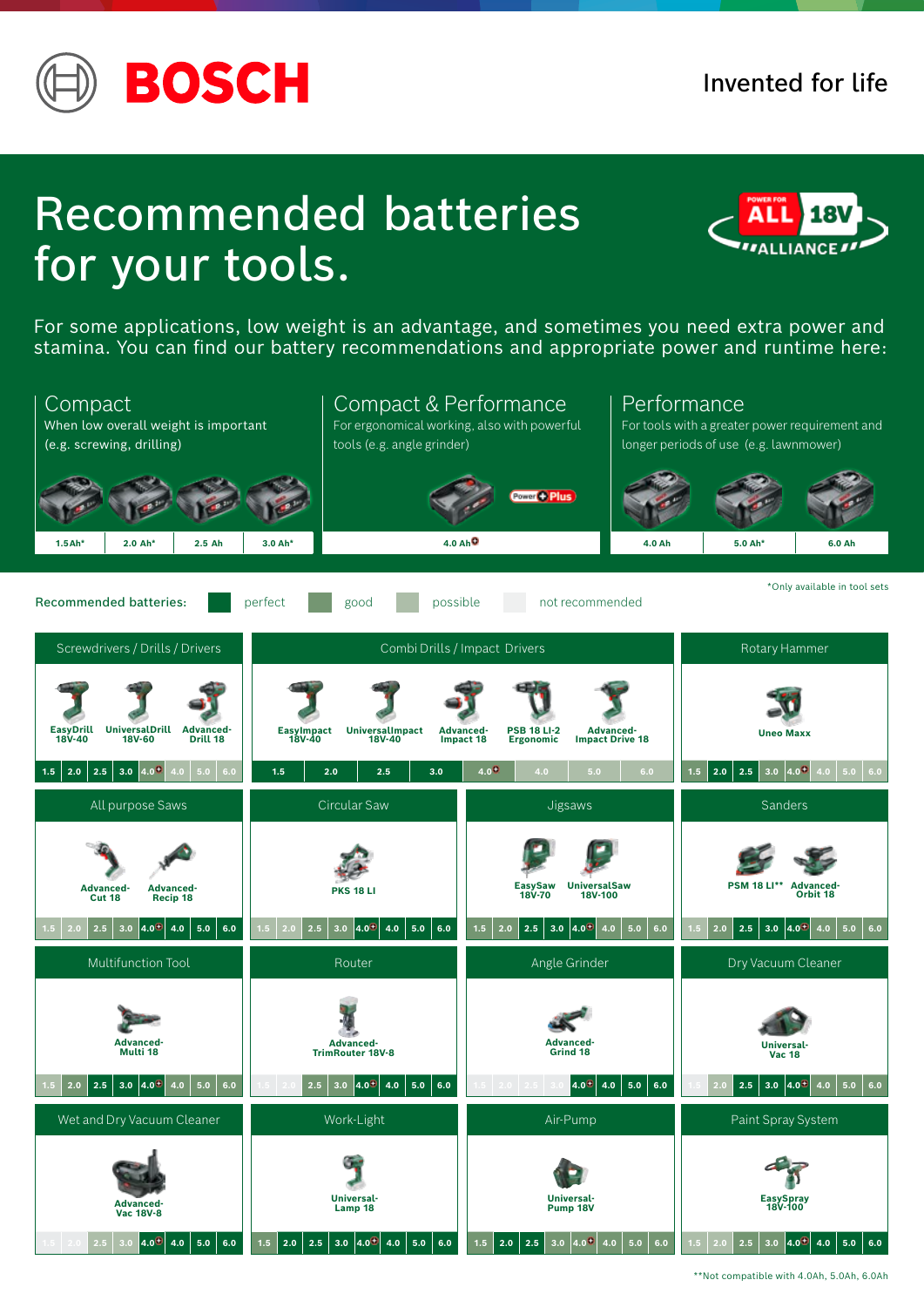

# Recommended batteries for your tools.



For some applications, low weight is an advantage, and sometimes you need extra power and stamina. You can find our battery recommendations and appropriate power and runtime here:



\*\*Not compatible with 4.0Ah, 5.0Ah, 6.0Ah